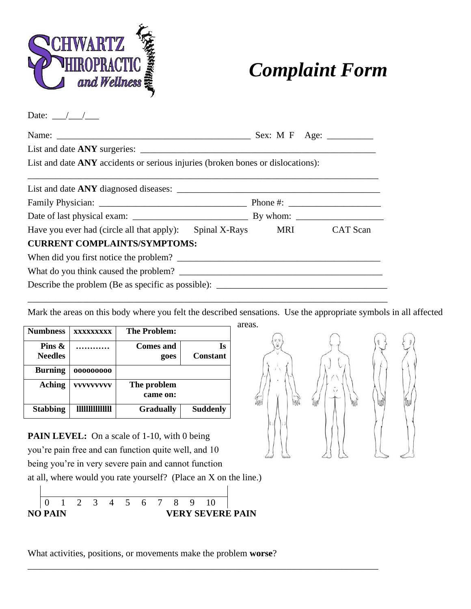

## *Complaint Form*

Date:  $\frac{\_}{\_}$ 

| List and date ANY accidents or serious injuries (broken bones or dislocations): |  |
|---------------------------------------------------------------------------------|--|
|                                                                                 |  |
|                                                                                 |  |
|                                                                                 |  |
| Have you ever had (circle all that apply): Spinal X-Rays MRI CAT Scan           |  |
| <b>CURRENT COMPLAINTS/SYMPTOMS:</b>                                             |  |
|                                                                                 |  |
|                                                                                 |  |
| Describe the problem (Be as specific as possible):                              |  |

\_\_\_\_\_\_\_\_\_\_\_\_\_\_\_\_\_\_\_\_\_\_\_\_\_\_\_\_\_\_\_\_\_\_\_\_\_\_\_\_\_\_\_\_\_\_\_\_\_\_\_\_\_\_\_\_\_\_\_\_\_\_\_\_\_\_\_\_\_\_\_\_\_\_\_\_\_\_

Mark the areas on this body where you felt the described sensations. Use the appropriate symbols in all affected

| <b>Numbness</b>             | <b>XXXXXXXXX</b>       | <b>The Problem:</b>     |                       |
|-----------------------------|------------------------|-------------------------|-----------------------|
| Pins $\&$<br><b>Needles</b> |                        | Comes and<br>goes       | Is<br><b>Constant</b> |
| <b>Burning</b>              | 000000000              |                         |                       |
| <b>Aching</b>               | <b>VVVVVVVVV</b>       | The problem<br>came on: |                       |
| <b>Stabbing</b>             | <b>THITITITITITITI</b> | <b>Gradually</b>        | <b>Suddenly</b>       |

PAIN LEVEL: On a scale of 1-10, with 0 being you're pain free and can function quite well, and 10 being you're in very severe pain and cannot function at all, where would you rate yourself? (Place an X on the line.)





What activities, positions, or movements make the problem **worse**?

\_\_\_\_\_\_\_\_\_\_\_\_\_\_\_\_\_\_\_\_\_\_\_\_\_\_\_\_\_\_\_\_\_\_\_\_\_\_\_\_\_\_\_\_\_\_\_\_\_\_\_\_\_\_\_\_\_\_\_\_\_\_\_\_\_\_\_\_\_\_\_\_\_\_\_\_